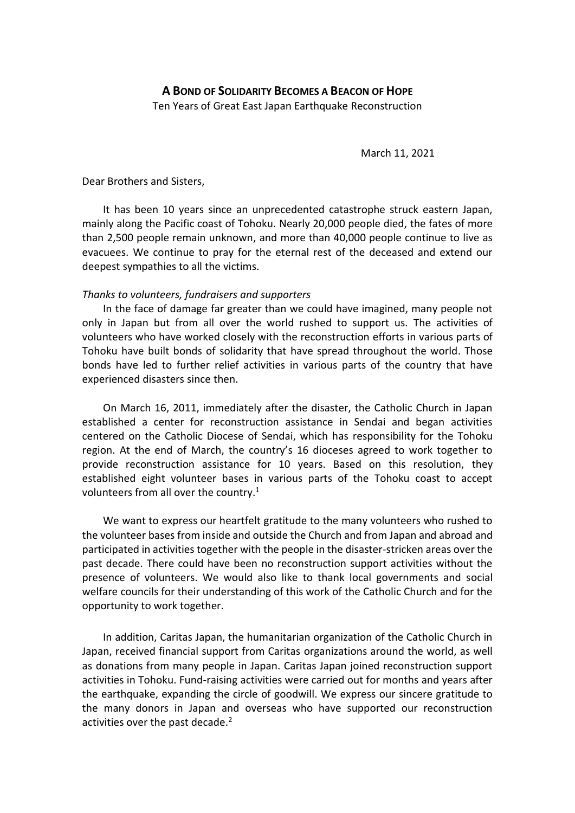March 11, 2021

Dear Brothers and Sisters,

It has been 10 years since an unprecedented catastrophe struck eastern Japan, mainly along the Pacific coast of Tohoku. Nearly 20,000 people died, the fates of more than 2,500 people remain unknown, and more than 40,000 people continue to live as evacuees. We continue to pray for the eternal rest of the deceased and extend our deepest sympathies to all the victims.

## *Thanks to volunteers, fundraisers and supporters*

In the face of damage far greater than we could have imagined, many people not only in Japan but from all over the world rushed to support us. The activities of volunteers who have worked closely with the reconstruction efforts in various parts of Tohoku have built bonds of solidarity that have spread throughout the world. Those bonds have led to further relief activities in various parts of the country that have experienced disasters since then.

On March 16, 2011, immediately after the disaster, the Catholic Church in Japan established a center for reconstruction assistance in Sendai and began activities centered on the Catholic Diocese of Sendai, which has responsibility for the Tohoku region. At the end of March, the country's 16 dioceses agreed to work together to provide reconstruction assistance for 10 years. Based on this resolution, they established eight volunteer bases in various parts of the Tohoku coast to accept volunteers from all over the country.<sup>1</sup>

We want to express our heartfelt gratitude to the many volunteers who rushed to the volunteer bases from inside and outside the Church and from Japan and abroad and participated in activities together with the people in the disaster-stricken areas over the past decade. There could have been no reconstruction support activities without the presence of volunteers. We would also like to thank local governments and social welfare councils for their understanding of this work of the Catholic Church and for the opportunity to work together.

In addition, Caritas Japan, the humanitarian organization of the Catholic Church in Japan, received financial support from Caritas organizations around the world, as well as donations from many people in Japan. Caritas Japan joined reconstruction support activities in Tohoku. Fund-raising activities were carried out for months and years after the earthquake, expanding the circle of goodwill. We express our sincere gratitude to the many donors in Japan and overseas who have supported our reconstruction activities over the past decade. $2$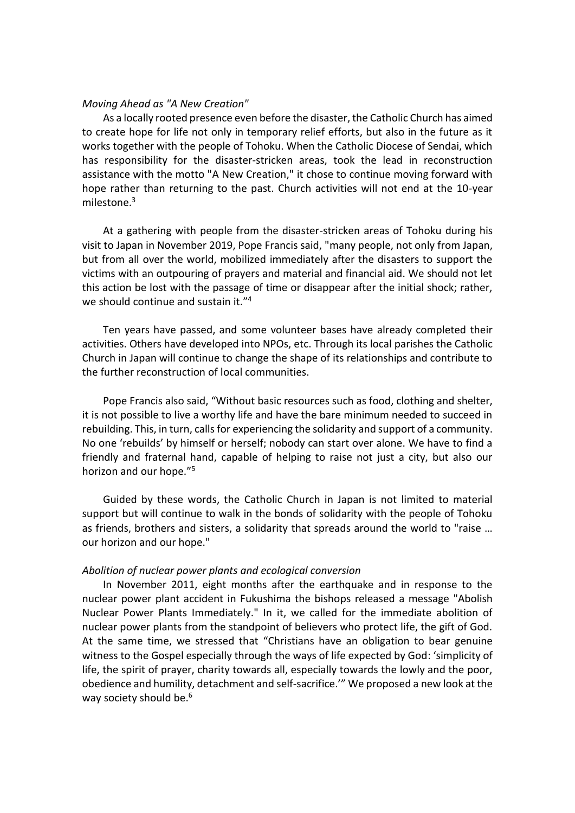## *Moving Ahead as "A New Creation"*

As a locally rooted presence even before the disaster, the Catholic Church has aimed to create hope for life not only in temporary relief efforts, but also in the future as it works together with the people of Tohoku. When the Catholic Diocese of Sendai, which has responsibility for the disaster-stricken areas, took the lead in reconstruction assistance with the motto "A New Creation," it chose to continue moving forward with hope rather than returning to the past. Church activities will not end at the 10-year milestone.<sup>3</sup>

At a gathering with people from the disaster-stricken areas of Tohoku during his visit to Japan in November 2019, Pope Francis said, "many people, not only from Japan, but from all over the world, mobilized immediately after the disasters to support the victims with an outpouring of prayers and material and financial aid. We should not let this action be lost with the passage of time or disappear after the initial shock; rather, we should continue and sustain it."<sup>4</sup>

Ten years have passed, and some volunteer bases have already completed their activities. Others have developed into NPOs, etc. Through its local parishes the Catholic Church in Japan will continue to change the shape of its relationships and contribute to the further reconstruction of local communities.

Pope Francis also said, "Without basic resources such as food, clothing and shelter, it is not possible to live a worthy life and have the bare minimum needed to succeed in rebuilding. This, in turn, calls for experiencing the solidarity and support of a community. No one 'rebuilds' by himself or herself; nobody can start over alone. We have to find a friendly and fraternal hand, capable of helping to raise not just a city, but also our horizon and our hope."<sup>5</sup>

Guided by these words, the Catholic Church in Japan is not limited to material support but will continue to walk in the bonds of solidarity with the people of Tohoku as friends, brothers and sisters, a solidarity that spreads around the world to "raise … our horizon and our hope."

## *Abolition of nuclear power plants and ecological conversion*

In November 2011, eight months after the earthquake and in response to the nuclear power plant accident in Fukushima the bishops released a message "Abolish Nuclear Power Plants Immediately." In it, we called for the immediate abolition of nuclear power plants from the standpoint of believers who protect life, the gift of God. At the same time, we stressed that "Christians have an obligation to bear genuine witness to the Gospel especially through the ways of life expected by God: 'simplicity of life, the spirit of prayer, charity towards all, especially towards the lowly and the poor, obedience and humility, detachment and self-sacrifice.'" We proposed a new look at the way society should be.<sup>6</sup>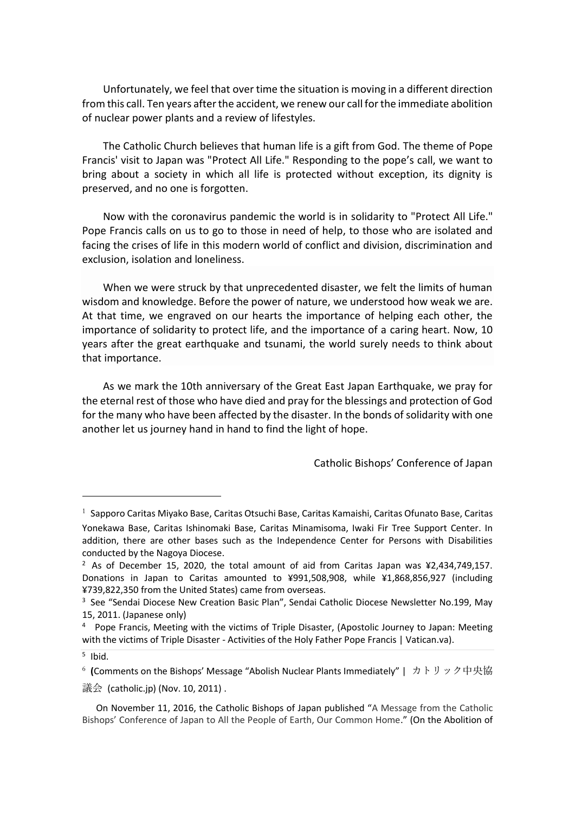Unfortunately, we feel that over time the situation is moving in a different direction from this call. Ten years after the accident, we renew our call for the immediate abolition of nuclear power plants and a review of lifestyles.

The Catholic Church believes that human life is a gift from God. The theme of Pope Francis' visit to Japan was "Protect All Life." Responding to the pope's call, we want to bring about a society in which all life is protected without exception, its dignity is preserved, and no one is forgotten.

Now with the coronavirus pandemic the world is in solidarity to "Protect All Life." Pope Francis calls on us to go to those in need of help, to those who are isolated and facing the crises of life in this modern world of conflict and division, discrimination and exclusion, isolation and loneliness.

When we were struck by that unprecedented disaster, we felt the limits of human wisdom and knowledge. Before the power of nature, we understood how weak we are. At that time, we engraved on our hearts the importance of helping each other, the importance of solidarity to protect life, and the importance of a caring heart. Now, 10 years after the great earthquake and tsunami, the world surely needs to think about that importance.

As we mark the 10th anniversary of the Great East Japan Earthquake, we pray for the eternal rest of those who have died and pray for the blessings and protection of God for the many who have been affected by the disaster. In the bonds of solidarity with one another let us journey hand in hand to find the light of hope.

Catholic Bishops' Conference of Japan

 $^1$  Sapporo Caritas Miyako Base, Caritas Otsuchi Base, Caritas Kamaishi, Caritas Ofunato Base, Caritas Yonekawa Base, Caritas Ishinomaki Base, Caritas Minamisoma, Iwaki Fir Tree Support Center. In addition, there are other bases such as the Independence Center for Persons with Disabilities conducted by the Nagoya Diocese.

<sup>&</sup>lt;sup>2</sup> As of December 15, 2020, the total amount of aid from Caritas Japan was ¥2,434,749,157. Donations in Japan to Caritas amounted to ¥991,508,908, while ¥1,868,856,927 (including ¥739,822,350 from the United States) came from overseas.

<sup>&</sup>lt;sup>3</sup> See "Sendai Diocese New Creation Basic Plan", Sendai Catholic Diocese Newsletter No.199, May 15, 2011. (Japanese only)

<sup>4</sup> Pope Francis, Meeting with the victims of Triple Disaster, (Apostolic Journey to Japan: Meeting with the victims of Triple Disaster - Activities of the Holy Father Pope Francis | Vatican.va).

<sup>5</sup> Ibid.

<sup>6</sup> **(**Comments on the Bishops' Message "Abolish Nuclear Plants Immediately" | カトリック中央協 議会 (catholic.jp) (Nov. 10, 2011) .

On November 11, 2016, the Catholic Bishops of Japan published "A Message from the Catholic Bishops' Conference of Japan to All the People of Earth, Our Common Home." (On the Abolition of